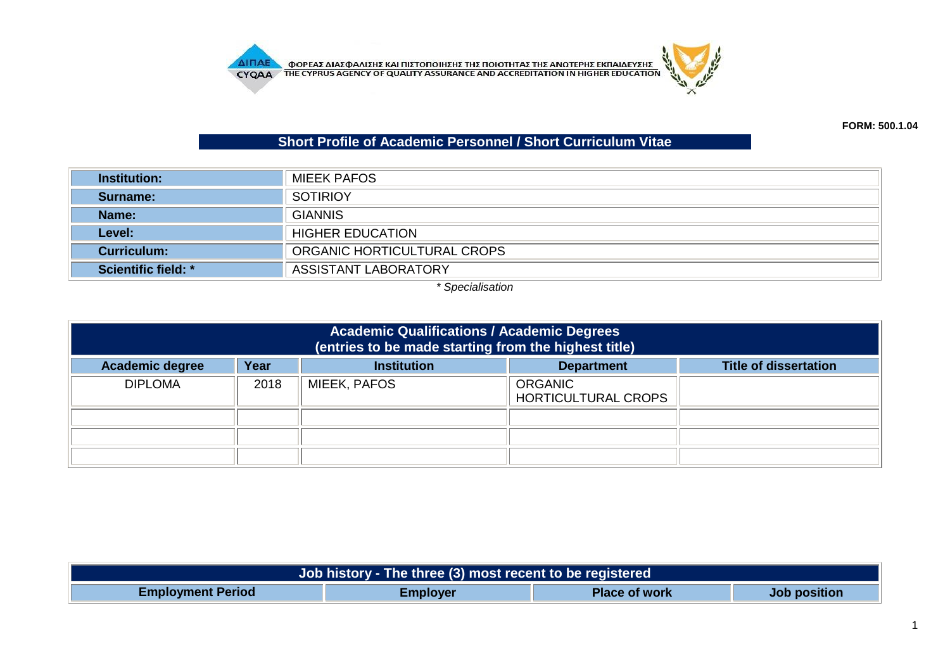

## **Short Profile of Academic Personnel / Short Curriculum Vitae**

| <b>Institution:</b>        | MIEEK PAFOS                 |  |
|----------------------------|-----------------------------|--|
| Surname:                   | <b>SOTIRIOY</b>             |  |
| Name:                      | <b>GIANNIS</b>              |  |
| Level:                     | <b>HIGHER EDUCATION</b>     |  |
| Curriculum:                | ORGANIC HORTICULTURAL CROPS |  |
| <b>Scientific field: *</b> | <b>ASSISTANT LABORATORY</b> |  |

*\* Specialisation*

| <b>Academic Qualifications / Academic Degrees</b><br>(entries to be made starting from the highest title) |      |                     |                                       |  |
|-----------------------------------------------------------------------------------------------------------|------|---------------------|---------------------------------------|--|
| <b>Institution</b><br>Year<br><b>Title of dissertation</b><br><b>Academic degree</b><br><b>Department</b> |      |                     |                                       |  |
| <b>DIPLOMA</b>                                                                                            | 2018 | <b>MIEEK, PAFOS</b> | <b>ORGANIC</b><br>HORTICULTURAL CROPS |  |
|                                                                                                           |      |                     |                                       |  |
|                                                                                                           |      |                     |                                       |  |
|                                                                                                           |      |                     |                                       |  |

| Job history - The three (3) most recent to be registered |                 |                      |              |  |  |
|----------------------------------------------------------|-----------------|----------------------|--------------|--|--|
| <b>Employment Period</b>                                 | <b>Employer</b> | <b>Place of work</b> | Job position |  |  |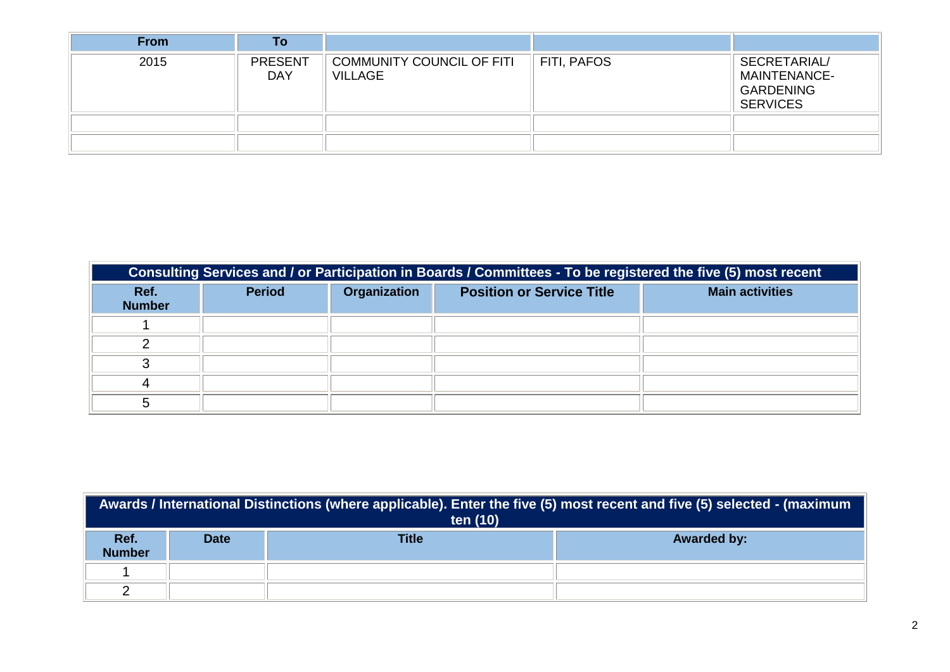| <b>From</b> | To                           |                                                    |                         |                                                                            |
|-------------|------------------------------|----------------------------------------------------|-------------------------|----------------------------------------------------------------------------|
| 2015        | <b>PRESENT</b><br><b>DAY</b> | <b>COMMUNITY COUNCIL OF FITI</b><br><b>VILLAGE</b> | $\parallel$ FITI, PAFOS | SECRETARIAL/<br><b>MAINTENANCE-</b><br><b>GARDENING</b><br><b>SERVICES</b> |
|             |                              |                                                    |                         |                                                                            |
|             |                              |                                                    |                         |                                                                            |

| Consulting Services and / or Participation in Boards / Committees - To be registered the five (5) most recent |               |                     |                                  |                        |  |
|---------------------------------------------------------------------------------------------------------------|---------------|---------------------|----------------------------------|------------------------|--|
| Ref.<br><b>Number</b>                                                                                         | <b>Period</b> | <b>Organization</b> | <b>Position or Service Title</b> | <b>Main activities</b> |  |
|                                                                                                               |               |                     |                                  |                        |  |
|                                                                                                               |               |                     |                                  |                        |  |
|                                                                                                               |               |                     |                                  |                        |  |
|                                                                                                               |               |                     |                                  |                        |  |
|                                                                                                               |               |                     |                                  |                        |  |

| Awards / International Distinctions (where applicable). Enter the five (5) most recent and five (5) selected - (maximum<br>ten (10) |             |              |                    |  |  |
|-------------------------------------------------------------------------------------------------------------------------------------|-------------|--------------|--------------------|--|--|
| Ref.<br><b>Number</b>                                                                                                               | <b>Date</b> | <b>Title</b> | <b>Awarded by:</b> |  |  |
|                                                                                                                                     |             |              |                    |  |  |
|                                                                                                                                     |             |              |                    |  |  |